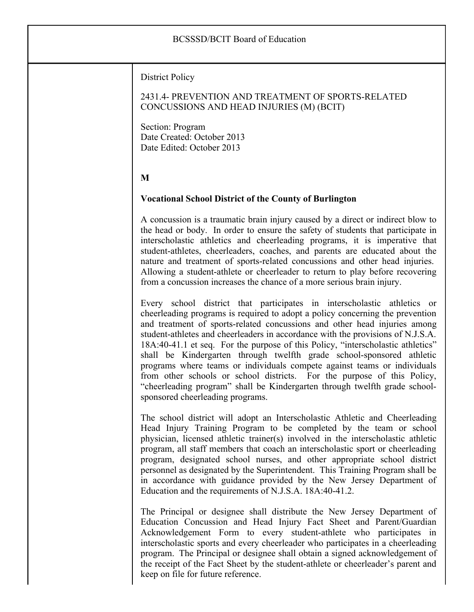## BCSSSD/BCIT Board of Education District Policy 2431.4- PREVENTION AND TREATMENT OF SPORTS-RELATED CONCUSSIONS AND HEAD INJURIES (M) (BCIT) Section: Program Date Created: October 2013 Date Edited: October 2013 **M Vocational School District of the County of Burlington** A concussion is a traumatic brain injury caused by a direct or indirect blow to the head or body. In order to ensure the safety of students that participate in interscholastic athletics and cheerleading programs, it is imperative that student-athletes, cheerleaders, coaches, and parents are educated about the nature and treatment of sports-related concussions and other head injuries. Allowing a student-athlete or cheerleader to return to play before recovering from a concussion increases the chance of a more serious brain injury. Every school district that participates in interscholastic athletics or cheerleading programs is required to adopt a policy concerning the prevention and treatment of sports-related concussions and other head injuries among student-athletes and cheerleaders in accordance with the provisions of N.J.S.A. 18A:40-41.1 et seq. For the purpose of this Policy, "interscholastic athletics" shall be Kindergarten through twelfth grade school-sponsored athletic programs where teams or individuals compete against teams or individuals from other schools or school districts. For the purpose of this Policy, "cheerleading program" shall be Kindergarten through twelfth grade schoolsponsored cheerleading programs. The school district will adopt an Interscholastic Athletic and Cheerleading Head Injury Training Program to be completed by the team or school physician, licensed athletic trainer(s) involved in the interscholastic athletic program, all staff members that coach an interscholastic sport or cheerleading program, designated school nurses, and other appropriate school district personnel as designated by the Superintendent. This Training Program shall be in accordance with guidance provided by the New Jersey Department of Education and the requirements of N.J.S.A. 18A:40-41.2. The Principal or designee shall distribute the New Jersey Department of Education Concussion and Head Injury Fact Sheet and Parent/Guardian Acknowledgement Form to every student-athlete who participates in interscholastic sports and every cheerleader who participates in a cheerleading program. The Principal or designee shall obtain a signed acknowledgement of the receipt of the Fact Sheet by the student-athlete or cheerleader's parent and

keep on file for future reference.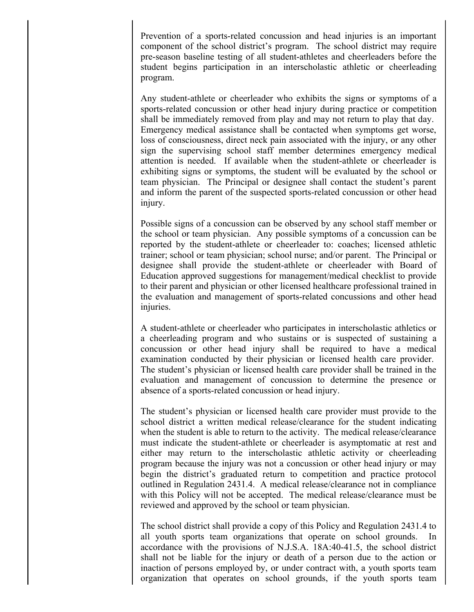Prevention of a sports-related concussion and head injuries is an important component of the school district's program. The school district may require pre-season baseline testing of all student-athletes and cheerleaders before the student begins participation in an interscholastic athletic or cheerleading program.

Any student-athlete or cheerleader who exhibits the signs or symptoms of a sports-related concussion or other head injury during practice or competition shall be immediately removed from play and may not return to play that day. Emergency medical assistance shall be contacted when symptoms get worse, loss of consciousness, direct neck pain associated with the injury, or any other sign the supervising school staff member determines emergency medical attention is needed. If available when the student-athlete or cheerleader is exhibiting signs or symptoms, the student will be evaluated by the school or team physician. The Principal or designee shall contact the student's parent and inform the parent of the suspected sports-related concussion or other head injury.

Possible signs of a concussion can be observed by any school staff member or the school or team physician. Any possible symptoms of a concussion can be reported by the student-athlete or cheerleader to: coaches; licensed athletic trainer; school or team physician; school nurse; and/or parent. The Principal or designee shall provide the student-athlete or cheerleader with Board of Education approved suggestions for management/medical checklist to provide to their parent and physician or other licensed healthcare professional trained in the evaluation and management of sports-related concussions and other head injuries.

A student-athlete or cheerleader who participates in interscholastic athletics or a cheerleading program and who sustains or is suspected of sustaining a concussion or other head injury shall be required to have a medical examination conducted by their physician or licensed health care provider. The student's physician or licensed health care provider shall be trained in the evaluation and management of concussion to determine the presence or absence of a sports-related concussion or head injury.

The student's physician or licensed health care provider must provide to the school district a written medical release/clearance for the student indicating when the student is able to return to the activity. The medical release/clearance must indicate the student-athlete or cheerleader is asymptomatic at rest and either may return to the interscholastic athletic activity or cheerleading program because the injury was not a concussion or other head injury or may begin the district's graduated return to competition and practice protocol outlined in Regulation 2431.4. A medical release/clearance not in compliance with this Policy will not be accepted. The medical release/clearance must be reviewed and approved by the school or team physician.

The school district shall provide a copy of this Policy and Regulation 2431.4 to all youth sports team organizations that operate on school grounds. In accordance with the provisions of N.J.S.A. 18A:40-41.5, the school district shall not be liable for the injury or death of a person due to the action or inaction of persons employed by, or under contract with, a youth sports team organization that operates on school grounds, if the youth sports team